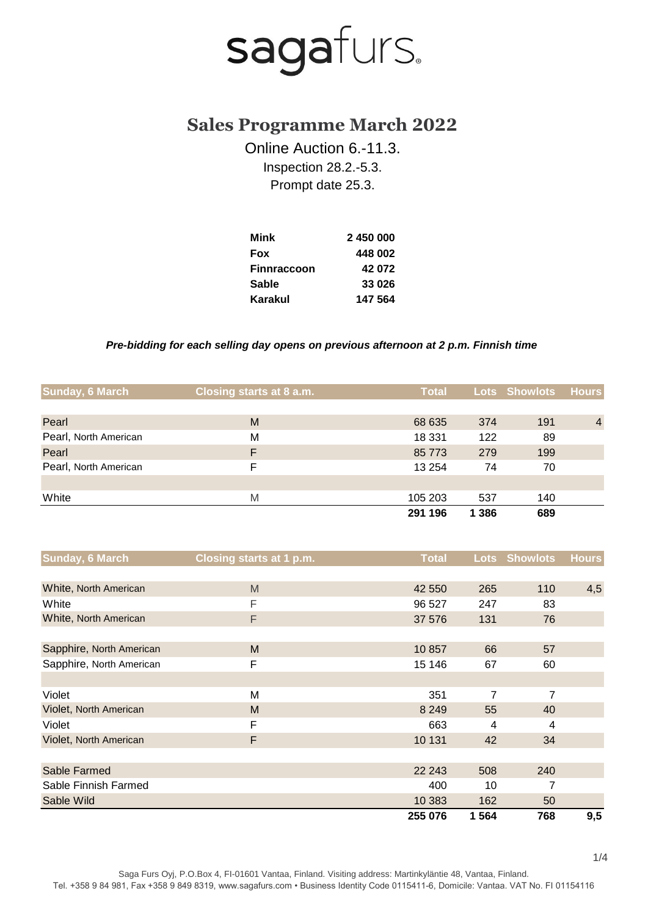### **Sales Programme March 2022**

Online Auction 6.-11.3. Inspection 28.2.-5.3. Prompt date 25.3.

| Mink               | 2450000 |
|--------------------|---------|
| <b>Fox</b>         | 448 002 |
| <b>Finnraccoon</b> | 42072   |
| <b>Sable</b>       | 33 026  |
| Karakul            | 147 564 |

#### *Pre-bidding for each selling day opens on previous afternoon at 2 p.m. Finnish time*

| Sunday, 6 March       | Closing starts at 8 a.m. | <b>Total</b> |         | <b>Lots Showlots</b> | <b>Hours</b>   |
|-----------------------|--------------------------|--------------|---------|----------------------|----------------|
|                       |                          |              |         |                      |                |
| Pearl                 | M                        | 68 635       | 374     | 191                  | $\overline{4}$ |
| Pearl, North American | M                        | 18 3 31      | 122     | 89                   |                |
| Pearl                 | F                        | 85 773       | 279     | 199                  |                |
| Pearl, North American | F                        | 13 254       | 74      | 70                   |                |
|                       |                          |              |         |                      |                |
| White                 | M                        | 105 203      | 537     | 140                  |                |
|                       |                          | 291 196      | 1 3 8 6 | 689                  |                |

| <b>Sunday, 6 March</b>   | <b>Closing starts at 1 p.m.</b> | <b>Total</b> |      | <b>Lots Showlots</b> | <b>Hours</b> |
|--------------------------|---------------------------------|--------------|------|----------------------|--------------|
|                          |                                 |              |      |                      |              |
| White, North American    | M                               | 42 550       | 265  | 110                  | 4,5          |
| White                    | F                               | 96 527       | 247  | 83                   |              |
| White, North American    | F                               | 37 576       | 131  | 76                   |              |
|                          |                                 |              |      |                      |              |
| Sapphire, North American | M                               | 10857        | 66   | 57                   |              |
| Sapphire, North American | F                               | 15 146       | 67   | 60                   |              |
|                          |                                 |              |      |                      |              |
| Violet                   | м                               | 351          | 7    | 7                    |              |
| Violet, North American   | M                               | 8 2 4 9      | 55   | 40                   |              |
| Violet                   | F                               | 663          | 4    | 4                    |              |
| Violet, North American   | F                               | 10 131       | 42   | 34                   |              |
|                          |                                 |              |      |                      |              |
| Sable Farmed             |                                 | 22 243       | 508  | 240                  |              |
| Sable Finnish Farmed     |                                 | 400          | 10   | 7                    |              |
| Sable Wild               |                                 | 10 383       | 162  | 50                   |              |
|                          |                                 | 255 076      | 1564 | 768                  | 9,5          |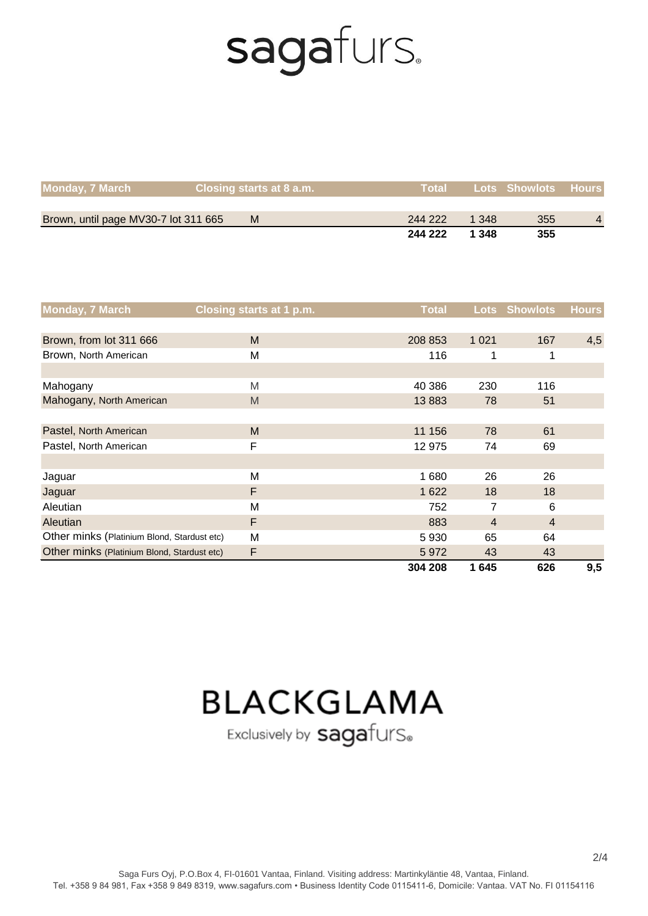| <b>Monday, 7 March</b>               | Closing starts at 8 a.m. | <b>Total</b> |       | <b>Lots Showlots Hours</b> |                |
|--------------------------------------|--------------------------|--------------|-------|----------------------------|----------------|
|                                      |                          |              |       |                            |                |
| Brown, until page MV30-7 lot 311 665 | M                        | 244 222      | 1.348 | 355                        | $\overline{4}$ |
|                                      |                          | 244 222      | 1 348 | 355                        |                |

| <b>Monday, 7 March</b>                      | <b>Closing starts at 1 p.m.</b> | <b>Total</b> | <b>Lots</b>    | <b>Showlots</b> | <b>Hours</b> |
|---------------------------------------------|---------------------------------|--------------|----------------|-----------------|--------------|
|                                             |                                 |              |                |                 |              |
| Brown, from lot 311 666                     | M                               | 208 853      | 1 0 2 1        | 167             | 4,5          |
| Brown, North American                       | M                               | 116          |                | 1               |              |
|                                             |                                 |              |                |                 |              |
| Mahogany                                    | M                               | 40 386       | 230            | 116             |              |
| Mahogany, North American                    | M                               | 13883        | 78             | 51              |              |
|                                             |                                 |              |                |                 |              |
| Pastel, North American                      | M                               | 11 156       | 78             | 61              |              |
| Pastel, North American                      | F                               | 12 975       | 74             | 69              |              |
|                                             |                                 |              |                |                 |              |
| Jaguar                                      | M                               | 1680         | 26             | 26              |              |
| Jaguar                                      | F                               | 1 6 2 2      | 18             | 18              |              |
| Aleutian                                    | M                               | 752          | 7              | 6               |              |
| Aleutian                                    | F                               | 883          | $\overline{4}$ | $\overline{4}$  |              |
| Other minks (Platinium Blond, Stardust etc) | M                               | 5930         | 65             | 64              |              |
| Other minks (Platinium Blond, Stardust etc) | F                               | 5972         | 43             | 43              |              |
|                                             |                                 | 304 208      | 1645           | 626             | 9,5          |

### **BLACKGLAMA**

Exclusively by sagafurS.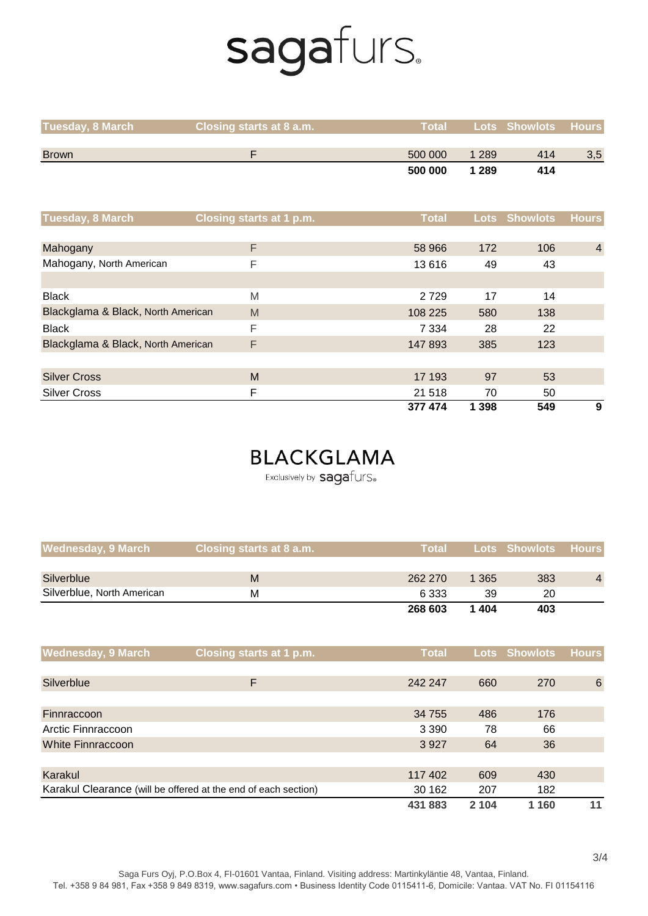| <b>Tuesday, 8 March</b>            | Closing starts at 8 a.m. | <b>Total</b> | <b>Lots</b> | <b>Showlots</b> | <b>Hours</b>   |
|------------------------------------|--------------------------|--------------|-------------|-----------------|----------------|
|                                    |                          |              |             |                 |                |
| <b>Brown</b>                       | F                        | 500 000      | 1 2 8 9     | 414             | 3,5            |
|                                    |                          | 500 000      | 1 2 8 9     | 414             |                |
|                                    |                          |              |             |                 |                |
| Tuesday, 8 March                   | Closing starts at 1 p.m. | <b>Total</b> | <b>Lots</b> | <b>Showlots</b> | <b>Hours</b>   |
|                                    |                          |              |             |                 |                |
| Mahogany                           | F                        | 58 966       | 172         | 106             | $\overline{4}$ |
| Mahogany, North American           | F                        | 13616        | 49          | 43              |                |
|                                    |                          |              |             |                 |                |
| <b>Black</b>                       | M                        | 2729         | 17          | 14              |                |
| Blackglama & Black, North American | M                        | 108 225      | 580         | 138             |                |
| <b>Black</b>                       | F                        | 7 3 3 4      | 28          | 22              |                |
| Blackglama & Black, North American | F                        | 147 893      | 385         | 123             |                |
|                                    |                          |              |             |                 |                |
| <b>Silver Cross</b>                | M                        | 17 193       | 97          | 53              |                |
| <b>Silver Cross</b>                | F                        | 21 518       | 70          | 50              |                |
|                                    |                          | 377 474      | 1 3 9 8     | 549             | 9              |

### **BLACKGLAMA**

Exclusively by sagafurS.

| <b>Wednesday, 9 March</b>  | Closing starts at 8 a.m. | <b>Total</b> |         | <b>Lots Showlots Hours</b> |                |
|----------------------------|--------------------------|--------------|---------|----------------------------|----------------|
|                            |                          |              |         |                            |                |
| Silverblue                 | M                        | 262 270      | 1 3 6 5 | 383                        | $\overline{4}$ |
| Silverblue, North American | М                        | 6 3 3 3      | 39      | 20                         |                |
|                            |                          | 268 603      | 1404    | 403                        |                |

| <b>Wednesday, 9 March</b>                                                       | Closing starts at 1 p.m. | <b>Total</b> |         | Lots Showlots | <b>Hours</b>    |
|---------------------------------------------------------------------------------|--------------------------|--------------|---------|---------------|-----------------|
|                                                                                 |                          |              |         |               |                 |
| Silverblue                                                                      | F                        | 242 247      | 660     | 270           | $6\phantom{1}6$ |
|                                                                                 |                          |              |         |               |                 |
| Finnraccoon                                                                     |                          | 34 755       | 486     | 176           |                 |
| Arctic Finnraccoon                                                              |                          | 3 3 9 0      | 78      | 66            |                 |
| White Finnraccoon                                                               |                          | 3927         | 64      | 36            |                 |
|                                                                                 |                          |              |         |               |                 |
| Karakul                                                                         |                          | 117 402      | 609     | 430           |                 |
| Karakul Clearance (will be offered at the end of each section)<br>207<br>30 162 |                          | 182          |         |               |                 |
|                                                                                 |                          | 431 883      | 2 1 0 4 | 1 160         | 11              |